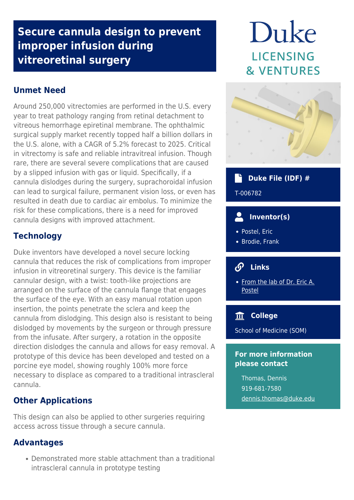# **Secure cannula design to prevent improper infusion during vitreoretinal surgery**

# **Unmet Need**

Around 250,000 vitrectomies are performed in the U.S. every year to treat pathology ranging from retinal detachment to vitreous hemorrhage epiretinal membrane. The ophthalmic surgical supply market recently topped half a billion dollars in the U.S. alone, with a CAGR of 5.2% forecast to 2025. Critical in vitrectomy is safe and reliable intravitreal infusion. Though rare, there are several severe complications that are caused by a slipped infusion with gas or liquid. Specifically, if a cannula dislodges during the surgery, suprachoroidal infusion can lead to surgical failure, permanent vision loss, or even has resulted in death due to cardiac air embolus. To minimize the risk for these complications, there is a need for improved cannula designs with improved attachment.

# **Technology**

Duke inventors have developed a novel secure locking cannula that reduces the risk of complications from improper infusion in vitreoretinal surgery. This device is the familiar cannular design, with a twist: tooth-like projections are arranged on the surface of the cannula flange that engages the surface of the eye. With an easy manual rotation upon insertion, the points penetrate the sclera and keep the cannula from dislodging. This design also is resistant to being dislodged by movements by the surgeon or through pressure from the infusate. After surgery, a rotation in the opposite direction dislodges the cannula and allows for easy removal. A prototype of this device has been developed and tested on a porcine eye model, showing roughly 100% more force necessary to displace as compared to a traditional intrascleral cannula.

#### **Other Applications**

This design can also be applied to other surgeries requiring access across tissue through a secure cannula.

# **Advantages**

Demonstrated more stable attachment than a traditional intrascleral cannula in prototype testing

# Duke LICENSING **& VENTURES**



# **Duke File (IDF) #**

T-006782

#### $\overline{\phantom{a}}$  **Inventor(s)**

- Postel, Eric
- Brodie, Frank

# **Links**

• [From the lab of Dr. Eric A.](https://dukeeyecenter.duke.edu/about/faculty/eric-attila-postel-md) [Postel](https://dukeeyecenter.duke.edu/about/faculty/eric-attila-postel-md)

# **College**

School of Medicine (SOM)

#### **For more information please contact**

Thomas, Dennis 919-681-7580 [dennis.thomas@duke.edu](mailto:dennis.thomas@duke.edu)